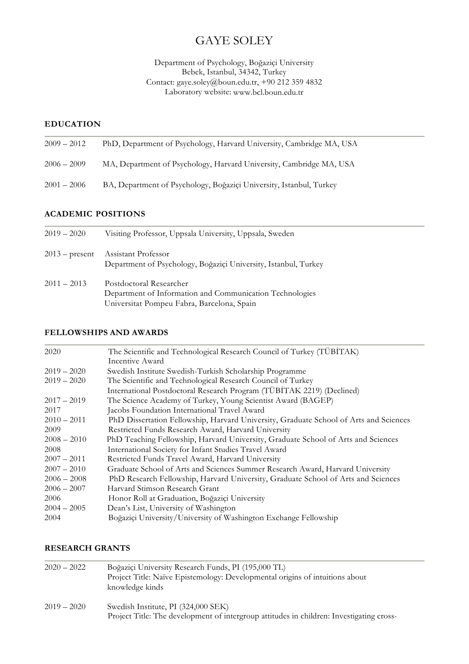# GAYE SOLEY

Department of Psychology, Boğaziçi University Bebek, Istanbul, 34342, Turkey Contact: gaye.soley@boun.edu.tr, +90 212 359 4832 Laboratory website: www.bcl.boun.edu.tr

### **EDUCATION**

| $2009 - 2012$ | PhD, Department of Psychology, Harvard University, Cambridge MA, USA |
|---------------|----------------------------------------------------------------------|
| $2006 - 2009$ | MA, Department of Psychology, Harvard University, Cambridge MA, USA  |
| $2001 - 2006$ | BA, Department of Psychology, Boğaziçi University, Istanbul, Turkey  |
|               |                                                                      |

# **ACADEMIC POSITIONS**

| $2019 - 2020$    | Visiting Professor, Uppsala University, Uppsala, Sweden                                                                           |
|------------------|-----------------------------------------------------------------------------------------------------------------------------------|
| $2013$ – present | Assistant Professor<br>Department of Psychology, Boğaziçi University, Istanbul, Turkey                                            |
| $2011 - 2013$    | Postdoctoral Researcher<br>Department of Information and Communication Technologies<br>Universitat Pompeu Fabra, Barcelona, Spain |

# **FELLOWSHIPS AND AWARDS**

| 2020          | The Scientific and Technological Research Council of Turkey (TÜBİTAK)                 |
|---------------|---------------------------------------------------------------------------------------|
|               | Incentive Award                                                                       |
| $2019 - 2020$ | Swedish Institute Swedish-Turkish Scholarship Programme                               |
| $2019 - 2020$ | The Scientific and Technological Research Council of Turkey                           |
|               | International Postdoctoral Research Program (TÜBİTAK 2219) (Declined)                 |
| $2017 - 2019$ | The Science Academy of Turkey, Young Scientist Award (BAGEP)                          |
| 2017          | Jacobs Foundation International Travel Award                                          |
| $2010 - 2011$ | PhD Dissertation Fellowship, Harvard University, Graduate School of Arts and Sciences |
| 2009          | Restricted Funds Research Award, Harvard University                                   |
| $2008 - 2010$ | PhD Teaching Fellowship, Harvard University, Graduate School of Arts and Sciences     |
| 2008          | International Society for Infant Studies Travel Award                                 |
| $2007 - 2011$ | Restricted Funds Travel Award, Harvard University                                     |
| $2007 - 2010$ | Graduate School of Arts and Sciences Summer Research Award, Harvard University        |
| $2006 - 2008$ | PhD Research Fellowship, Harvard University, Graduate School of Arts and Sciences     |
| $2006 - 2007$ | Harvard Stimson Research Grant                                                        |
| 2006          | Honor Roll at Graduation, Boğaziçi University                                         |
| $2004 - 2005$ | Dean's List, University of Washington                                                 |
| 2004          | Boğaziçi University/University of Washington Exchange Fellowship                      |
|               |                                                                                       |

# **RESEARCH GRANTS**

| $2020 - 2022$ | Boğaziçi University Research Funds, PI (195,000 TL)<br>Project Title: Naïve Epistemology: Developmental origins of intuitions about<br>knowledge kinds |
|---------------|--------------------------------------------------------------------------------------------------------------------------------------------------------|
| $2019 - 2020$ | Swedish Institute, PI (324,000 SEK)<br>Project Title: The development of intergroup attitudes in children: Investigating cross-                        |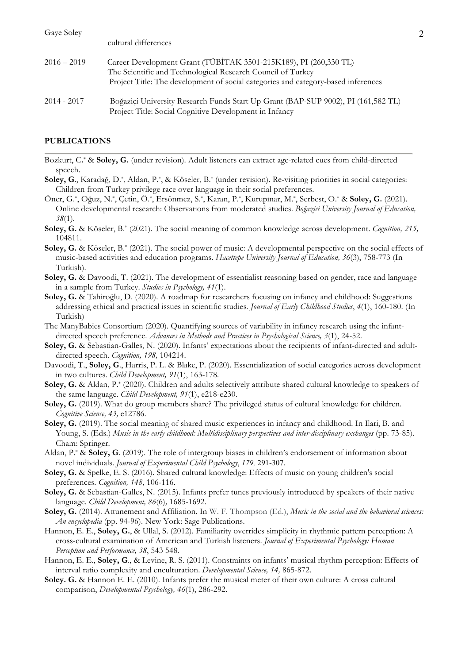| Gaye Soley    | cultural differences                                                                                                                                                                                                 |  |
|---------------|----------------------------------------------------------------------------------------------------------------------------------------------------------------------------------------------------------------------|--|
| $2016 - 2019$ | Career Development Grant (TÜBİTAK 3501-215K189), PI (260,330 TL)<br>The Scientific and Technological Research Council of Turkey<br>Project Title: The development of social categories and category-based inferences |  |
| $2014 - 2017$ | Boğaziçi University Research Funds Start Up Grant (BAP-SUP 9002), PI (161,582 TL)<br>Project Title: Social Cognitive Development in Infancy                                                                          |  |

### **PUBLICATIONS**

Bozkurt, C**.**\* & **Soley, G.** (under revision). Adult listeners can extract age-related cues from child-directed speech.

- **Soley, G**., Karadağ, D.\*, Aldan, P.\*, & Köseler, B.\* (under revision). Re-visiting priorities in social categories: Children from Turkey privilege race over language in their social preferences.
- Öner, G.\*, Oğuz, N.\*, Çetin, Ö.\*, Ersönmez, S.\*, Karan, P.\*, Kurupınar, M.\*, Serbest, O.\* & **Soley, G.** (2021). Online developmental research: Observations from moderated studies. *Boğazici University Journal of Education, 38*(1).
- **Soley, G.** & Köseler, B.\* (2021). The social meaning of common knowledge across development. *Cognition, 215,*  104811.
- **Soley, G.** & Köseler, B.\* (2021). The social power of music: A developmental perspective on the social effects of music-based activities and education programs. *Hacettepe University Journal of Education, 36*(3), 758-773 (In Turkish).
- **Soley, G.** & Davoodi, T. (2021). The development of essentialist reasoning based on gender, race and language in a sample from Turkey. *Studies in Psychology, 41*(1).
- **Soley, G.** & Tahiroğlu, D. (2020). A roadmap for researchers focusing on infancy and childhood: Suggestions addressing ethical and practical issues in scientific studies*. Journal of Early Childhood Studies*, *4*(1), 160-180. (In Turkish)
- The ManyBabies Consortium (2020). Quantifying sources of variability in infancy research using the infantdirected speech preference. *Advances in Methods and Practices in Psychological Science, 3*(1), 24-52.
- **Soley, G.** & Sebastian-Galles, N. (2020). Infants' expectations about the recipients of infant-directed and adultdirected speech*. Cognition, 198,* 104214.
- Davoodi, T., **Soley, G**., Harris, P. L. & Blake, P. (2020). Essentialization of social categories across development in two cultures. *Child Development, 91*(1), 163-178.
- **Soley, G.** & Aldan, P.\* (2020). Children and adults selectively attribute shared cultural knowledge to speakers of the same language. *Child Development, 91*(1), e218-e230.
- **Soley, G.** (2019). What do group members share? The privileged status of cultural knowledge for children. *Cognitive Science, 43,* e12786.
- **Soley, G.** (2019). The social meaning of shared music experiences in infancy and childhood. In Ilari, B. and Young, S. (Eds.) *Music in the early childhood: Multidisciplinary perspectives and inter-disciplinary exchanges* (pp. 73-85). Cham: Springer.
- Aldan, P.\* & **Soley, G**. (2019). The role of intergroup biases in children's endorsement of information about novel individuals. *Journal of Experimental Child Psychology*, *179,* 291-307.
- **Soley, G.** & Spelke, E. S. (2016). Shared cultural knowledge: Effects of music on young children's social preferences. *Cognition, 148*, 106-116.
- **Soley, G.** & Sebastian-Galles, N. (2015). Infants prefer tunes previously introduced by speakers of their native language. *Child Development, 86*(6)*,* 1685-1692.
- **Soley, G.** (2014). Attunement and Affiliation. In W. F. Thompson (Ed.), *Music in the social and the behavioral sciences: An encyclopedia* (pp. 94-96). New York: Sage Publications.
- Hannon, E. E., **Soley, G.**, & Ullal, S. (2012). Familiarity overrides simplicity in rhythmic pattern perception: A cross-cultural examination of American and Turkish listeners. *Journal of Experimental Psychology: Human Perception and Performance, 38*, 543 548.
- Hannon, E. E., **Soley, G**., & Levine, R. S. (2011). Constraints on infants' musical rhythm perception: Effects of interval ratio complexity and enculturation. *Developmental Science, 14,* 865-872.
- **Soley. G.** & Hannon E. E. (2010). Infants prefer the musical meter of their own culture: A cross cultural comparison, *Developmental Psychology, 46*(1), 286-292.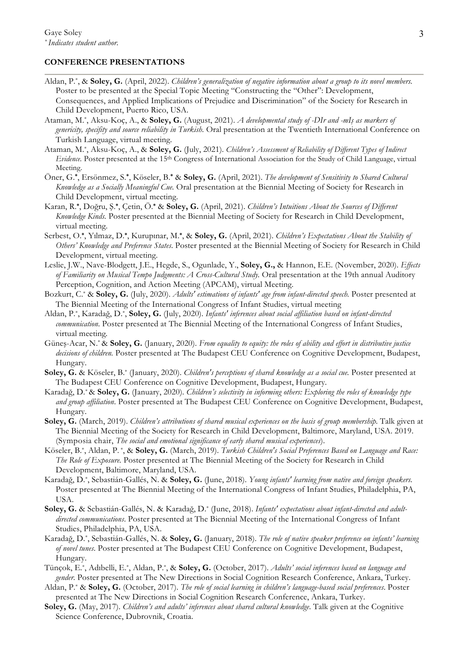### **CONFERENCE PRESENTATIONS**

- Aldan, P.\*, & **Soley, G.** (April, 2022). *Children's generalization of negative information about a group to its novel members.*  Poster to be presented at the Special Topic Meeting "Constructing the "Other": Development, Consequences, and Applied Implications of Prejudice and Discrimination" of the Society for Research in Child Development, Puerto Rico, USA.
- Ataman, M.\*, Aksu-Koç, A., & **Soley, G.** (August, 2021). *A developmental study of -DIr and -mIş as markers of genericity, specifity and source reliability in Turkish.* Oral presentation at the Twentieth International Conference on Turkish Language, virtual meeting.
- Ataman, M.\*, Aksu-Koç, A., & **Soley, G.** (July, 2021). *Children's Assessment of Reliability of Different Types of Indirect Evidence.* Poster presented at the 15th Congress of International Association for the Study of Child Language, virtual Meeting.
- Öner, G.**\***, Ersönmez, S.**\***, Köseler, B.**\*** & **Soley, G.** (April, 2021). *The development of Sensitivity to Shared Cultural Knowledge as a Socially Meaningful Cue.* Oral presentation at the Biennial Meeting of Society for Research in Child Development, virtual meeting.
- Karan, R.**\***, Doğru, Ş. **\***, Çetin, Ö.**\*** & **Soley, G.** (April, 2021). *Children's Intuitions About the Sources of Different Knowledge Kinds.* Poster presented at the Biennial Meeting of Society for Research in Child Development, virtual meeting.
- Serbest, O.**\***, Yılmaz, D.**\***, Kurupınar, M.**\***, & **Soley, G.** (April, 2021). *Children's Expectations About the Stability of Others' Knowledge and Preference States*. Poster presented at the Biennial Meeting of Society for Research in Child Development, virtual meeting.
- Leslie, J.W., Nave-Blodgett, J.E., Hegde, S., Ogunlade, Y., **Soley, G.,** & Hannon, E.E. (November, 2020). *Effects of Familiarity on Musical Tempo Judgments: A Cross-Cultural Study.* Oral presentation at the 19th annual Auditory Perception, Cognition, and Action Meeting (APCAM), virtual Meeting.
- Bozkurt, C.\* & **Soley, G.** (July, 2020). *Adults' estimations of infants' age from infant-directed speech.* Poster presented at The Biennial Meeting of the International Congress of Infant Studies, virtual meeting
- Aldan, P.\*, Karadağ, D.\*, **Soley, G.** (July, 2020). *Infants' inferences about social affiliation based on infant-directed communication*. Poster presented at The Biennial Meeting of the International Congress of Infant Studies, virtual meeting*.*
- Güneş-Acar, N.\* & **Soley, G.** (January, 2020). *From equality to equity: the roles of ability and effort in distributive justice decisions of children.* Poster presented at The Budapest CEU Conference on Cognitive Development, Budapest, Hungary.
- Soley, G. & Köseler, B.\* (January, 2020). *Children's perceptions of shared knowledge as a social cue*. Poster presented at The Budapest CEU Conference on Cognitive Development, Budapest, Hungary.
- Karadağ, D.\* & **Soley, G.** (January, 2020). *Children's selectivity in informing others: Exploring the roles of knowledge type and group affiliation*. Poster presented at The Budapest CEU Conference on Cognitive Development, Budapest, Hungary.
- **Soley, G.** (March, 2019). *Children's attributions of shared musical experiences on the basis of group membership*. Talk given at The Biennial Meeting of the Society for Research in Child Development, Baltimore, Maryland, USA. 2019. (Symposia chair, *The social and emotional significance of early shared musical experiences*).
- Köseler, B.\*, Aldan, P. \*, & **Soley, G.** (March, 2019). *Turkish Children's Social Preferences Based on Language and Race: The Role of Exposure.* Poster presented at The Biennial Meeting of the Society for Research in Child Development, Baltimore, Maryland, USA.
- Karadağ, D.\*, Sebastián-Gallés, N. & **Soley, G.** (June, 2018). *Young infants' learning from native and foreign speakers*. Poster presented at The Biennial Meeting of the International Congress of Infant Studies, Philadelphia, PA, USA.
- **Soley, G.** & Sebastián-Gallés, N. & Karadağ, D.\* (June, 2018). *Infants' expectations about infant-directed and adultdirected communications*. Poster presented at The Biennial Meeting of the International Congress of Infant Studies, Philadelphia, PA, USA.
- Karadağ, D.\*, Sebastián-Gallés, N. & **Soley, G.** (January, 2018). *The role of native speaker preference on infants' learning of novel tunes*. Poster presented at The Budapest CEU Conference on Cognitive Development, Budapest, Hungary.
- Tünçok, E.\*, Adıbelli, E.\*, Aldan, P.\*, & **Soley, G.** (October, 2017). *Adults' social inferences based on language and gender.* Poster presented at The New Directions in Social Cognition Research Conference, Ankara, Turkey.
- Aldan, P.\* & **Soley, G.** (October, 2017). *The role of social learning in children's language-based social preferences*. Poster presented at The New Directions in Social Cognition Research Conference, Ankara, Turkey.
- **Soley, G.** (May, 2017). *Children's and adults' inferences about shared cultural knowledge*. Talk given at the Cognitive Science Conference, Dubrovnik, Croatia.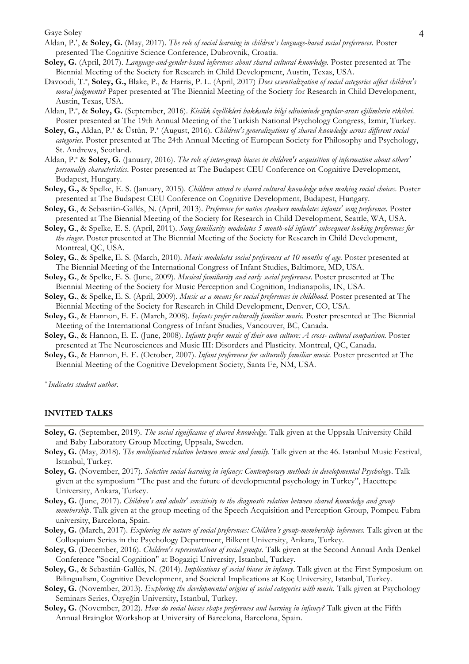Gaye Soley 4

- Aldan, P.\*, & **Soley, G.** (May, 2017). *The role of social learning in children's language-based social preferences.* Poster presented The Cognitive Science Conference, Dubrovnik, Croatia.
- **Soley, G.** (April, 2017). *Language-and-gender-based inferences about shared cultural knowledge.* Poster presented at The Biennial Meeting of the Society for Research in Child Development, Austin, Texas, USA.
- Davoodi, T.\*, **Soley, G.,** Blake, P., & Harris, P. L. (April, 2017) *Does essentialization of social categories affect children's moral judgments?* Paper presented at The Biennial Meeting of the Society for Research in Child Development, Austin, Texas, USA.
- Aldan, P.\*, & **Soley, G.** (September, 2016). *Kisilik özellikleri hakkında bilgi ediniminde gruplar-arası eğilimlerin etkileri.* Poster presented at The 19th Annual Meeting of the Turkish National Psychology Congress, İzmir, Turkey.
- **Soley, G.,** Aldan, P.\* & Üstün, P.\* (August, 2016). *Children's generalizations of shared knowledge across different social categories.* Poster presented at The 24th Annual Meeting of European Society for Philosophy and Psychology, St. Andrews, Scotland.
- Aldan, P.\* & **Soley, G.** (January, 2016). *The role of inter-group biases in children's acquisition of information about others' personality characteristics*. Poster presented at The Budapest CEU Conference on Cognitive Development, Budapest, Hungary.
- **Soley, G.,** & Spelke, E. S. (January, 2015). *Children attend to shared cultural knowledge when making social choices.* Poster presented at The Budapest CEU Conference on Cognitive Development, Budapest, Hungary.
- **Soley, G**., & Sebastián-Gallés, N. (April, 2013). *Preference for native speakers modulates infants' song preference.* Poster presented at The Biennial Meeting of the Society for Research in Child Development, Seattle, WA, USA.
- **Soley, G**., & Spelke, E. S. (April, 2011). *Song familiarity modulates 5 month-old infants' subsequent looking preferences for the singer*. Poster presented at The Biennial Meeting of the Society for Research in Child Development, Montreal, QC, USA.
- **Soley, G.**, & Spelke, E. S. (March, 2010). *Music modulates social preferences at 10 months of age.* Poster presented at The Biennial Meeting of the International Congress of Infant Studies, Baltimore, MD, USA.
- **Soley, G.**, & Spelke, E. S. (June, 2009). *Musical familiarity and early social preferences*. Poster presented at The Biennial Meeting of the Society for Music Perception and Cognition, Indianapolis, IN, USA.
- **Soley, G.**, & Spelke, E. S. (April, 2009). *Music as a means for social preferences in childhood.* Poster presented at The Biennial Meeting of the Society for Research in Child Development, Denver, CO, USA.
- **Soley, G.**, & Hannon, E. E. (March, 2008). *Infants prefer culturally familiar music.* Poster presented at The Biennial Meeting of the International Congress of Infant Studies, Vancouver, BC, Canada.
- **Soley, G.**, & Hannon, E. E. (June, 2008). *Infants prefer music of their own culture: A cross- cultural comparison.* Poster presented at The Neurosciences and Music III: Disorders and Plasticity. Montreal, QC, Canada.
- **Soley, G.**, & Hannon, E. E. (October, 2007). *Infant preferences for culturally familiar music.* Poster presented at The Biennial Meeting of the Cognitive Development Society, Santa Fe, NM, USA.

*\* Indicates student author.*

#### **INVITED TALKS**

- **Soley, G.** (September, 2019). *The social significance of shared knowledge.* Talk given at the Uppsala University Child and Baby Laboratory Group Meeting, Uppsala, Sweden.
- **Soley, G.** (May, 2018). *The multifaceted relation between music and family*. Talk given at the 46. Istanbul Music Festival, Istanbul, Turkey.
- **Soley, G.** (November, 2017). *Selective social learning in infancy: Contemporary methods in developmental Psychology*. Talk given at the symposium "The past and the future of developmental psychology in Turkey", Hacettepe University, Ankara, Turkey.
- **Soley, G.** (June, 2017). *Children's and adults' sensitivity to the diagnostic relation between shared knowledge and group membership*. Talk given at the group meeting of the Speech Acquisition and Perception Group, Pompeu Fabra university, Barcelona, Spain.
- **Soley, G.** (March, 2017). *Exploring the nature of social preferences: Children's group-membership inferences.* Talk given at the Colloquium Series in the Psychology Department, Bilkent University, Ankara, Turkey.
- **Soley, G**. (December, 2016). *Children's representations of social groups.* Talk given at the Second Annual Arda Denkel Conference "Social Cognition" at Bogaziçi University, Istanbul, Turkey.
- **Soley, G.**, & Sebastián-Gallés, N. (2014). *Implications of social biases in infancy.* Talk given at the First Symposium on Bilingualism, Cognitive Development, and Societal Implications at Koç University, Istanbul, Turkey.
- **Soley, G.** (November, 2013). *Exploring the developmental origins of social categories with music.* Talk given at Psychology Seminars Series, Özyeğin University, Istanbul, Turkey.
- **Soley, G.** (November, 2012). *How do social biases shape preferences and learning in infancy?* Talk given at the Fifth Annual Brainglot Workshop at University of Barcelona, Barcelona, Spain.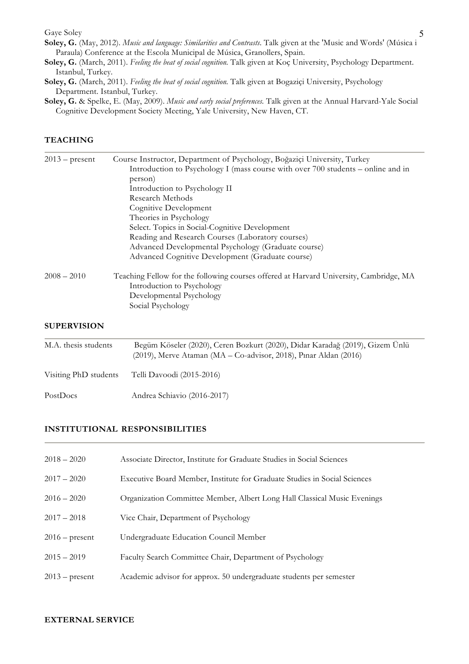Gaye Soley 5

- **Soley, G.** (May, 2012). *Music and language: Similarities and Contrasts*. Talk given at the 'Music and Words' (Música i Paraula) Conference at the Escola Municipal de Música, Granollers, Spain.
- **Soley, G.** (March, 2011). *Feeling the beat of social cognition.* Talk given at Koç University, Psychology Department. Istanbul, Turkey.
- **Soley, G.** (March, 2011). *Feeling the beat of social cognition.* Talk given at Bogaziçi University, Psychology Department. Istanbul, Turkey.
- **Soley, G.** & Spelke, E. (May, 2009). *Music and early social preferences.* Talk given at the Annual Harvard-Yale Social Cognitive Development Society Meeting, Yale University, New Haven, CT.

## **TEACHING**

| $2013$ – present   | Course Instructor, Department of Psychology, Boğaziçi University, Turkey                                             |
|--------------------|----------------------------------------------------------------------------------------------------------------------|
|                    | Introduction to Psychology I (mass course with over 700 students – online and in                                     |
|                    | person)                                                                                                              |
|                    | Introduction to Psychology II                                                                                        |
|                    | Research Methods                                                                                                     |
|                    | Cognitive Development                                                                                                |
|                    | Theories in Psychology                                                                                               |
|                    | Select. Topics in Social-Cognitive Development                                                                       |
|                    | Reading and Research Courses (Laboratory courses)                                                                    |
|                    | Advanced Developmental Psychology (Graduate course)                                                                  |
|                    | Advanced Cognitive Development (Graduate course)                                                                     |
| $2008 - 2010$      | Teaching Fellow for the following courses offered at Harvard University, Cambridge, MA<br>Introduction to Psychology |
|                    | Developmental Psychology                                                                                             |
|                    | Social Psychology                                                                                                    |
| <b>SUPERVISION</b> |                                                                                                                      |

| M.A. thesis students  | Begüm Köseler (2020), Ceren Bozkurt (2020), Didar Karadağ (2019), Gizem Ünlü<br>$(2019)$ , Merve Ataman (MA – Co-advisor, 2018), Pinar Aldan (2016) |
|-----------------------|-----------------------------------------------------------------------------------------------------------------------------------------------------|
| Visiting PhD students | Telli Davoodi (2015-2016)                                                                                                                           |
| PostDocs              | Andrea Schiavio (2016-2017)                                                                                                                         |

### **INSTITUTIONAL RESPONSIBILITIES**

| $2018 - 2020$    | Associate Director, Institute for Graduate Studies in Social Sciences     |
|------------------|---------------------------------------------------------------------------|
| $2017 - 2020$    | Executive Board Member, Institute for Graduate Studies in Social Sciences |
| $2016 - 2020$    | Organization Committee Member, Albert Long Hall Classical Music Evenings  |
| $2017 - 2018$    | Vice Chair, Department of Psychology                                      |
| $2016$ – present | Undergraduate Education Council Member                                    |
| $2015 - 2019$    | Faculty Search Committee Chair, Department of Psychology                  |
| $2013$ – present | Academic advisor for approx. 50 undergraduate students per semester       |